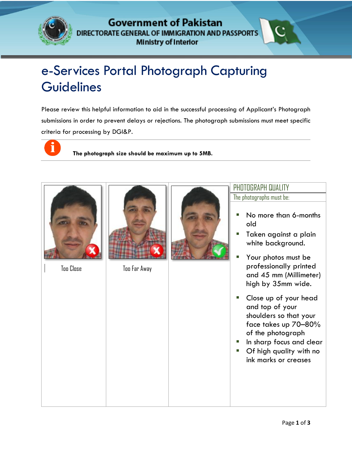

## **Government of Pakistan** DIRECTORATE GENERAL OF IMMIGRATION AND PASSPORTS **Ministry of Interior**

## e-Services Portal Photograph Capturing **Guidelines** GOVERNMENT OF PAKISTAN GENERAL CERTIFICATE GENERAL AND LOTER IN THE

Please review this helpful information to aid in the successful processing of Applicant's Photograph submissions in order to prevent delays or rejections. The photograph submissions must meet specific criteria for processing by DGI&P.



**The photograph size should be maximum up to 5MB.**





Too Close Too Far Away



The photographs must be:

- No more than 6-months old
- **Taken against a plain** white background.
- **Payable Your photos must be** professionally printed and 45 mm (Millimeter) high by 35mm wide.
- Close up of your head and top of your shoulders so that your face takes up 70–80% of the photograph
- **In sharp focus and clear**
- **•** Of high quality with no ink marks or creases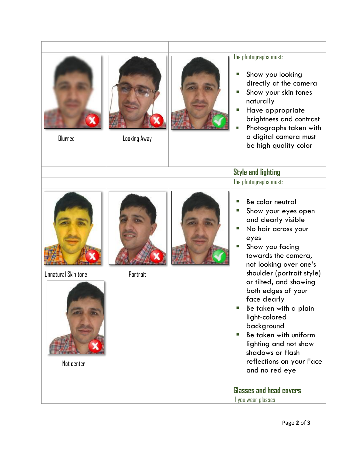| The photographs must:<br>Show you looking<br>directly at the camera<br>Show your skin tones<br>ш<br>naturally<br>Have appropriate<br>П<br>brightness and contrast<br>Photographs taken with<br>a digital camera must<br>Blurred<br>Looking Away                                                                                                                                                                                                                                                          |
|----------------------------------------------------------------------------------------------------------------------------------------------------------------------------------------------------------------------------------------------------------------------------------------------------------------------------------------------------------------------------------------------------------------------------------------------------------------------------------------------------------|
| be high quality color                                                                                                                                                                                                                                                                                                                                                                                                                                                                                    |
| <b>Style and lighting</b>                                                                                                                                                                                                                                                                                                                                                                                                                                                                                |
| The photographs must:                                                                                                                                                                                                                                                                                                                                                                                                                                                                                    |
| Be color neutral<br>Show your eyes open<br>and clearly visible<br>No hair across your<br>eyes<br>Show you facing<br>towards the camera,<br>not looking over one's<br>shoulder (portrait style)<br><b>Unnatural Skin tone</b><br>Portrait<br>or tilted, and showing<br>both edges of your<br>face clearly<br>Be taken with a plain<br>light-colored<br>background<br>Be taken with uniform<br>m.<br>lighting and not show<br>shadows or flash<br>reflections on your Face<br>Not center<br>and no red eye |
| <b>Glasses and head covers</b><br>If you wear glasses                                                                                                                                                                                                                                                                                                                                                                                                                                                    |